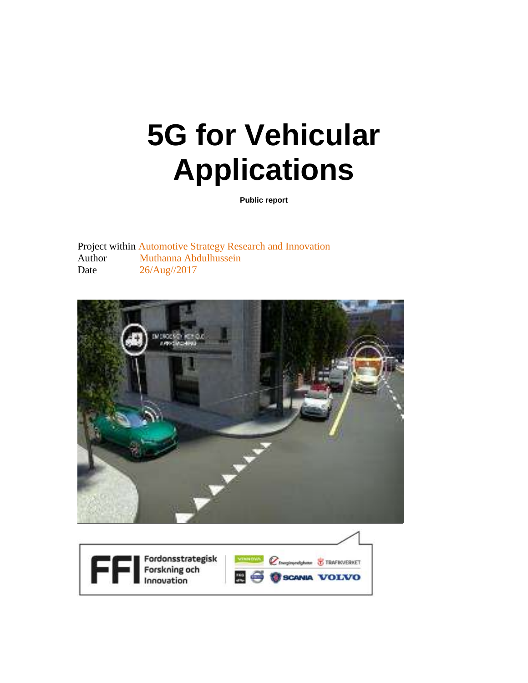# **5G for Vehicular Applications**

**Public report**

Project within Automotive Strategy Research and Innovation Author Muthanna Abdulhussein Date 26/Aug//2017



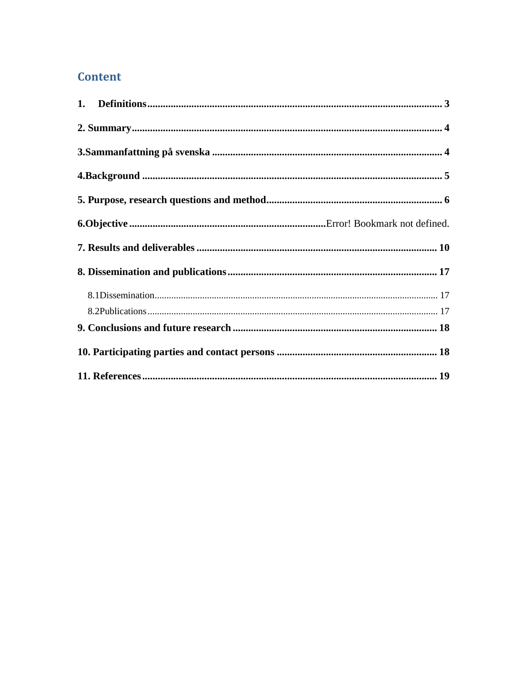#### **Content**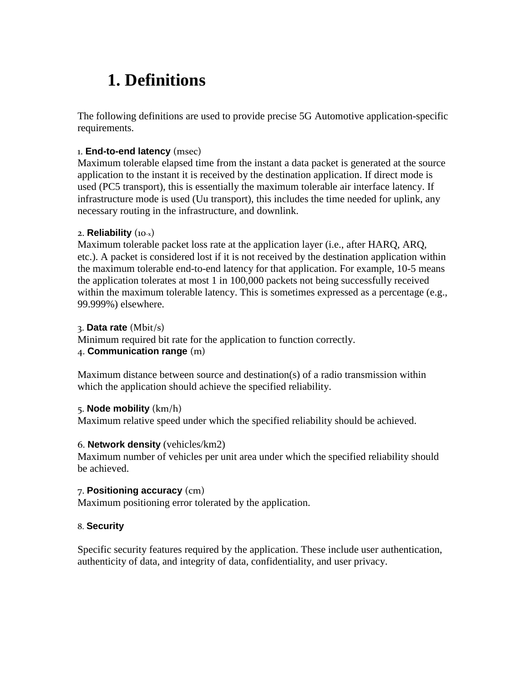# <span id="page-2-0"></span>**1. Definitions**

The following definitions are used to provide precise 5G Automotive application-specific requirements.

#### 1. **End-to-end latency** (msec)

Maximum tolerable elapsed time from the instant a data packet is generated at the source application to the instant it is received by the destination application. If direct mode is used (PC5 transport), this is essentially the maximum tolerable air interface latency. If infrastructure mode is used (Uu transport), this includes the time needed for uplink, any necessary routing in the infrastructure, and downlink.

#### 2. **Reliability** (10-x)

Maximum tolerable packet loss rate at the application layer (i.e., after HARQ, ARQ, etc.). A packet is considered lost if it is not received by the destination application within the maximum tolerable end-to-end latency for that application. For example, 10-5 means the application tolerates at most 1 in 100,000 packets not being successfully received within the maximum tolerable latency. This is sometimes expressed as a percentage (e.g., 99.999%) elsewhere.

#### 3. **Data rate** (Mbit/s)

Minimum required bit rate for the application to function correctly. 4. **Communication range** (m)

Maximum distance between source and destination(s) of a radio transmission within which the application should achieve the specified reliability.

#### 5. **Node mobility** (km/h)

Maximum relative speed under which the specified reliability should be achieved.

#### 6. **Network density** (vehicles/km2)

Maximum number of vehicles per unit area under which the specified reliability should be achieved.

#### 7. **Positioning accuracy** (cm)

Maximum positioning error tolerated by the application.

#### 8. **Security**

Specific security features required by the application. These include user authentication, authenticity of data, and integrity of data, confidentiality, and user privacy.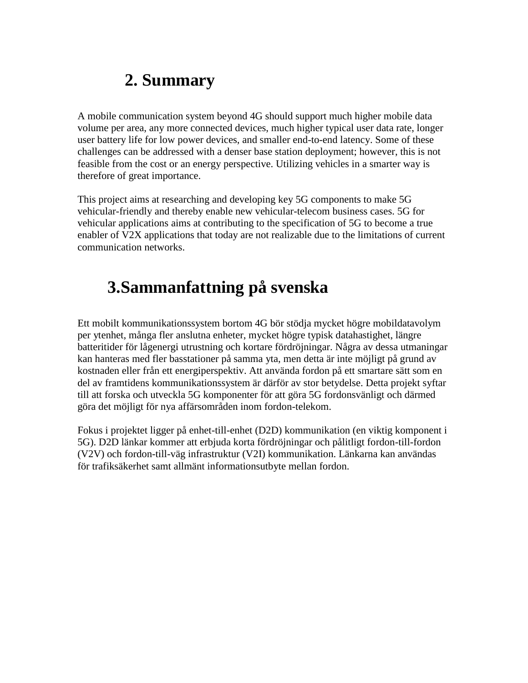## **2. Summary**

<span id="page-3-0"></span>A mobile communication system beyond 4G should support much higher mobile data volume per area, any more connected devices, much higher typical user data rate, longer user battery life for low power devices, and smaller end-to-end latency. Some of these challenges can be addressed with a denser base station deployment; however, this is not feasible from the cost or an energy perspective. Utilizing vehicles in a smarter way is therefore of great importance.

This project aims at researching and developing key 5G components to make 5G vehicular-friendly and thereby enable new vehicular-telecom business cases. 5G for vehicular applications aims at contributing to the specification of 5G to become a true enabler of V2X applications that today are not realizable due to the limitations of current communication networks.

# <span id="page-3-1"></span>**3.Sammanfattning på svenska**

Ett mobilt kommunikationssystem bortom 4G bör stödja mycket högre mobildatavolym per ytenhet, många fler anslutna enheter, mycket högre typisk datahastighet, längre batteritider för lågenergi utrustning och kortare fördröjningar. Några av dessa utmaningar kan hanteras med fler basstationer på samma yta, men detta är inte möjligt på grund av kostnaden eller från ett energiperspektiv. Att använda fordon på ett smartare sätt som en del av framtidens kommunikationssystem är därför av stor betydelse. Detta projekt syftar till att forska och utveckla 5G komponenter för att göra 5G fordonsvänligt och därmed göra det möjligt för nya affärsområden inom fordon-telekom.

Fokus i projektet ligger på enhet-till-enhet (D2D) kommunikation (en viktig komponent i 5G). D2D länkar kommer att erbjuda korta fördröjningar och pålitligt fordon-till-fordon (V2V) och fordon-till-väg infrastruktur (V2I) kommunikation. Länkarna kan användas för trafiksäkerhet samt allmänt informationsutbyte mellan fordon.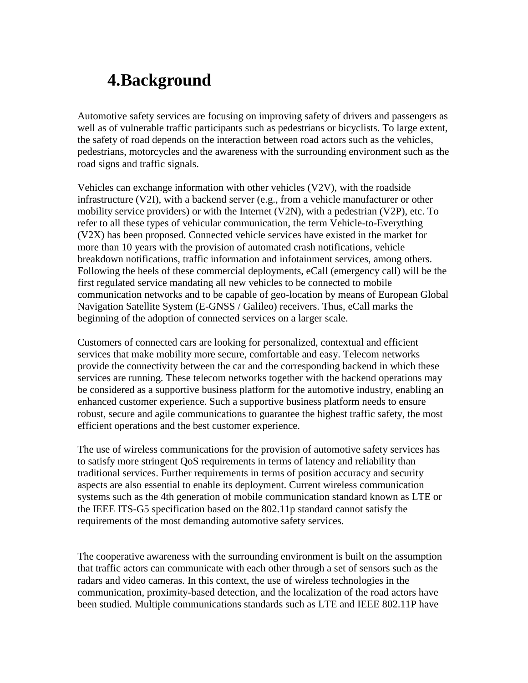### <span id="page-4-0"></span>**4.Background**

Automotive safety services are focusing on improving safety of drivers and passengers as well as of vulnerable traffic participants such as pedestrians or bicyclists. To large extent, the safety of road depends on the interaction between road actors such as the vehicles, pedestrians, motorcycles and the awareness with the surrounding environment such as the road signs and traffic signals.

Vehicles can exchange information with other vehicles (V2V), with the roadside infrastructure (V2I), with a backend server (e.g., from a vehicle manufacturer or other mobility service providers) or with the Internet (V2N), with a pedestrian (V2P), etc. To refer to all these types of vehicular communication, the term Vehicle-to-Everything (V2X) has been proposed. Connected vehicle services have existed in the market for more than 10 years with the provision of automated crash notifications, vehicle breakdown notifications, traffic information and infotainment services, among others. Following the heels of these commercial deployments, eCall (emergency call) will be the first regulated service mandating all new vehicles to be connected to mobile communication networks and to be capable of geo-location by means of European Global Navigation Satellite System (E-GNSS / Galileo) receivers. Thus, eCall marks the beginning of the adoption of connected services on a larger scale.

Customers of connected cars are looking for personalized, contextual and efficient services that make mobility more secure, comfortable and easy. Telecom networks provide the connectivity between the car and the corresponding backend in which these services are running. These telecom networks together with the backend operations may be considered as a supportive business platform for the automotive industry, enabling an enhanced customer experience. Such a supportive business platform needs to ensure robust, secure and agile communications to guarantee the highest traffic safety, the most efficient operations and the best customer experience.

The use of wireless communications for the provision of automotive safety services has to satisfy more stringent QoS requirements in terms of latency and reliability than traditional services. Further requirements in terms of position accuracy and security aspects are also essential to enable its deployment. Current wireless communication systems such as the 4th generation of mobile communication standard known as LTE or the IEEE ITS-G5 specification based on the 802.11p standard cannot satisfy the requirements of the most demanding automotive safety services.

The cooperative awareness with the surrounding environment is built on the assumption that traffic actors can communicate with each other through a set of sensors such as the radars and video cameras. In this context, the use of wireless technologies in the communication, proximity-based detection, and the localization of the road actors have been studied. Multiple communications standards such as LTE and IEEE 802.11P have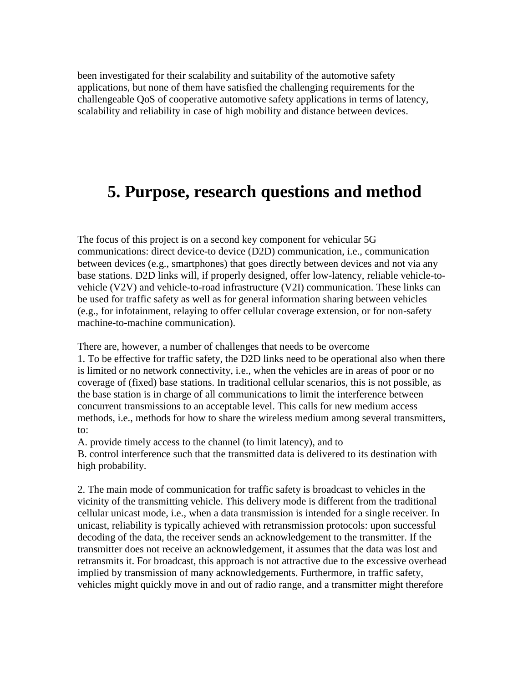been investigated for their scalability and suitability of the automotive safety applications, but none of them have satisfied the challenging requirements for the challengeable QoS of cooperative automotive safety applications in terms of latency, scalability and reliability in case of high mobility and distance between devices.

### <span id="page-5-0"></span>**5. Purpose, research questions and method**

The focus of this project is on a second key component for vehicular 5G communications: direct device-to device (D2D) communication, i.e., communication between devices (e.g., smartphones) that goes directly between devices and not via any base stations. D2D links will, if properly designed, offer low-latency, reliable vehicle-tovehicle (V2V) and vehicle-to-road infrastructure (V2I) communication. These links can be used for traffic safety as well as for general information sharing between vehicles (e.g., for infotainment, relaying to offer cellular coverage extension, or for non-safety machine-to-machine communication).

There are, however, a number of challenges that needs to be overcome

1. To be effective for traffic safety, the D2D links need to be operational also when there is limited or no network connectivity, i.e., when the vehicles are in areas of poor or no coverage of (fixed) base stations. In traditional cellular scenarios, this is not possible, as the base station is in charge of all communications to limit the interference between concurrent transmissions to an acceptable level. This calls for new medium access methods, i.e., methods for how to share the wireless medium among several transmitters, to:

A. provide timely access to the channel (to limit latency), and to

B. control interference such that the transmitted data is delivered to its destination with high probability.

2. The main mode of communication for traffic safety is broadcast to vehicles in the vicinity of the transmitting vehicle. This delivery mode is different from the traditional cellular unicast mode, i.e., when a data transmission is intended for a single receiver. In unicast, reliability is typically achieved with retransmission protocols: upon successful decoding of the data, the receiver sends an acknowledgement to the transmitter. If the transmitter does not receive an acknowledgement, it assumes that the data was lost and retransmits it. For broadcast, this approach is not attractive due to the excessive overhead implied by transmission of many acknowledgements. Furthermore, in traffic safety, vehicles might quickly move in and out of radio range, and a transmitter might therefore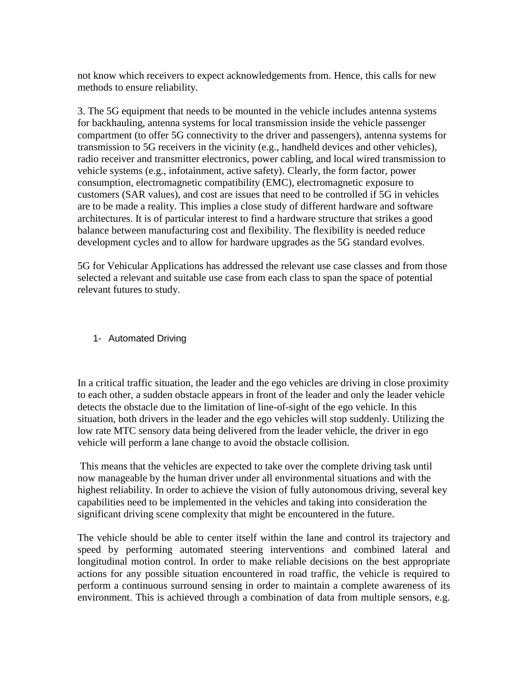not know which receivers to expect acknowledgements from. Hence, this calls for new methods to ensure reliability.

3. The 5G equipment that needs to be mounted in the vehicle includes antenna systems for backhauling, antenna systems for local transmission inside the vehicle passenger compartment (to offer 5G connectivity to the driver and passengers), antenna systems for transmission to 5G receivers in the vicinity (e.g., handheld devices and other vehicles), radio receiver and transmitter electronics, power cabling, and local wired transmission to vehicle systems (e.g., infotainment, active safety). Clearly, the form factor, power consumption, electromagnetic compatibility (EMC), electromagnetic exposure to customers (SAR values), and cost are issues that need to be controlled if 5G in vehicles are to be made a reality. This implies a close study of different hardware and software architectures. It is of particular interest to find a hardware structure that strikes a good balance between manufacturing cost and flexibility. The flexibility is needed reduce development cycles and to allow for hardware upgrades as the 5G standard evolves.

5G for Vehicular Applications has addressed the relevant use case classes and from those selected a relevant and suitable use case from each class to span the space of potential relevant futures to study.

#### 1- Automated Driving

In a critical traffic situation, the leader and the ego vehicles are driving in close proximity to each other, a sudden obstacle appears in front of the leader and only the leader vehicle detects the obstacle due to the limitation of line-of-sight of the ego vehicle. In this situation, both drivers in the leader and the ego vehicles will stop suddenly. Utilizing the low rate MTC sensory data being delivered from the leader vehicle, the driver in ego vehicle will perform a lane change to avoid the obstacle collision.

This means that the vehicles are expected to take over the complete driving task until now manageable by the human driver under all environmental situations and with the highest reliability. In order to achieve the vision of fully autonomous driving, several key capabilities need to be implemented in the vehicles and taking into consideration the significant driving scene complexity that might be encountered in the future.

The vehicle should be able to center itself within the lane and control its trajectory and speed by performing automated steering interventions and combined lateral and longitudinal motion control. In order to make reliable decisions on the best appropriate actions for any possible situation encountered in road traffic, the vehicle is required to perform a continuous surround sensing in order to maintain a complete awareness of its environment. This is achieved through a combination of data from multiple sensors, e.g.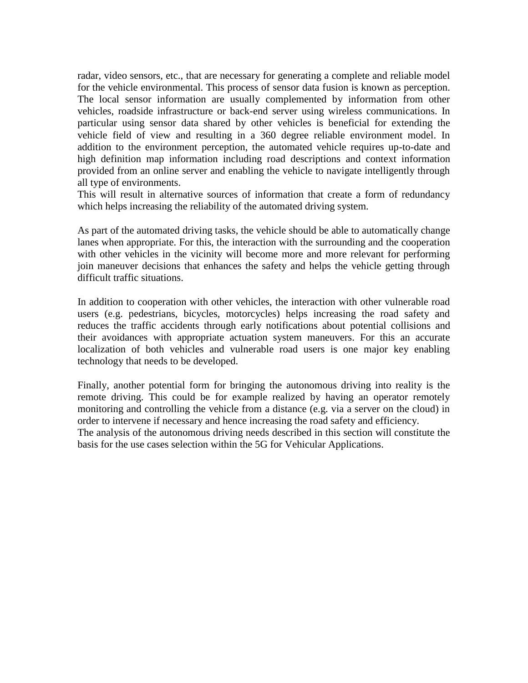radar, video sensors, etc., that are necessary for generating a complete and reliable model for the vehicle environmental. This process of sensor data fusion is known as perception. The local sensor information are usually complemented by information from other vehicles, roadside infrastructure or back-end server using wireless communications. In particular using sensor data shared by other vehicles is beneficial for extending the vehicle field of view and resulting in a 360 degree reliable environment model. In addition to the environment perception, the automated vehicle requires up-to-date and high definition map information including road descriptions and context information provided from an online server and enabling the vehicle to navigate intelligently through all type of environments.

This will result in alternative sources of information that create a form of redundancy which helps increasing the reliability of the automated driving system.

As part of the automated driving tasks, the vehicle should be able to automatically change lanes when appropriate. For this, the interaction with the surrounding and the cooperation with other vehicles in the vicinity will become more and more relevant for performing join maneuver decisions that enhances the safety and helps the vehicle getting through difficult traffic situations.

In addition to cooperation with other vehicles, the interaction with other vulnerable road users (e.g. pedestrians, bicycles, motorcycles) helps increasing the road safety and reduces the traffic accidents through early notifications about potential collisions and their avoidances with appropriate actuation system maneuvers. For this an accurate localization of both vehicles and vulnerable road users is one major key enabling technology that needs to be developed.

Finally, another potential form for bringing the autonomous driving into reality is the remote driving. This could be for example realized by having an operator remotely monitoring and controlling the vehicle from a distance (e.g. via a server on the cloud) in order to intervene if necessary and hence increasing the road safety and efficiency.

The analysis of the autonomous driving needs described in this section will constitute the basis for the use cases selection within the 5G for Vehicular Applications.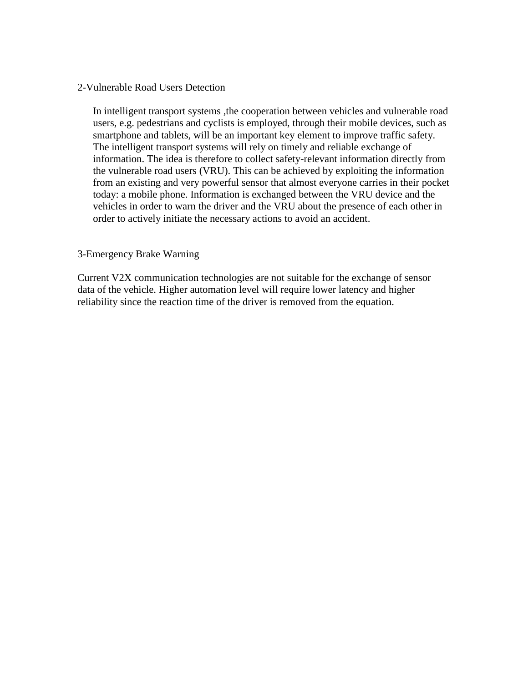#### 2-Vulnerable Road Users Detection

In intelligent transport systems ,the cooperation between vehicles and vulnerable road users, e.g. pedestrians and cyclists is employed, through their mobile devices, such as smartphone and tablets, will be an important key element to improve traffic safety. The intelligent transport systems will rely on timely and reliable exchange of information. The idea is therefore to collect safety-relevant information directly from the vulnerable road users (VRU). This can be achieved by exploiting the information from an existing and very powerful sensor that almost everyone carries in their pocket today: a mobile phone. Information is exchanged between the VRU device and the vehicles in order to warn the driver and the VRU about the presence of each other in order to actively initiate the necessary actions to avoid an accident.

#### 3-Emergency Brake Warning

Current V2X communication technologies are not suitable for the exchange of sensor data of the vehicle. Higher automation level will require lower latency and higher reliability since the reaction time of the driver is removed from the equation.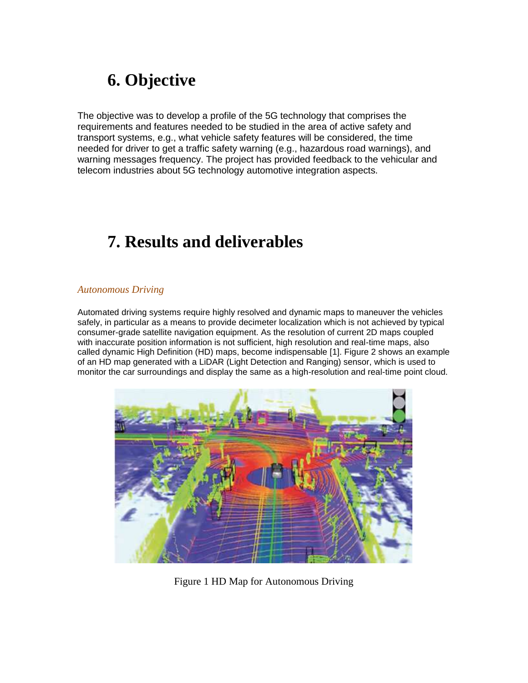# **6. Objective**

The objective was to develop a profile of the 5G technology that comprises the requirements and features needed to be studied in the area of active safety and transport systems, e.g., what vehicle safety features will be considered, the time needed for driver to get a traffic safety warning (e.g., hazardous road warnings), and warning messages frequency. The project has provided feedback to the vehicular and telecom industries about 5G technology automotive integration aspects.

# <span id="page-9-0"></span>**7. Results and deliverables**

#### *Autonomous Driving*

Automated driving systems require highly resolved and dynamic maps to maneuver the vehicles safely, in particular as a means to provide decimeter localization which is not achieved by typical consumer-grade satellite navigation equipment. As the resolution of current 2D maps coupled with inaccurate position information is not sufficient, high resolution and real-time maps, also called dynamic High Definition (HD) maps, become indispensable [1]. Figure 2 shows an example of an HD map generated with a LiDAR (Light Detection and Ranging) sensor, which is used to monitor the car surroundings and display the same as a high-resolution and real-time point cloud.



Figure 1 HD Map for Autonomous Driving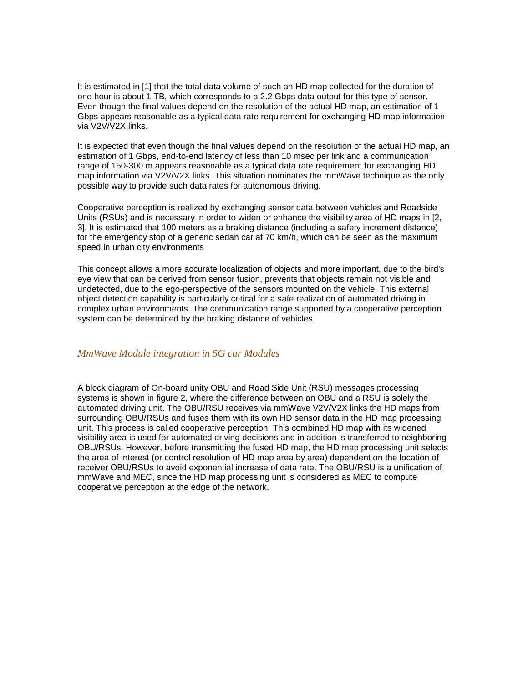It is estimated in [1] that the total data volume of such an HD map collected for the duration of one hour is about 1 TB, which corresponds to a 2.2 Gbps data output for this type of sensor. Even though the final values depend on the resolution of the actual HD map, an estimation of 1 Gbps appears reasonable as a typical data rate requirement for exchanging HD map information via V2V/V2X links.

It is expected that even though the final values depend on the resolution of the actual HD map, an estimation of 1 Gbps, end-to-end latency of less than 10 msec per link and a communication range of 150-300 m appears reasonable as a typical data rate requirement for exchanging HD map information via V2V/V2X links. This situation nominates the mmWave technique as the only possible way to provide such data rates for autonomous driving.

Cooperative perception is realized by exchanging sensor data between vehicles and Roadside Units (RSUs) and is necessary in order to widen or enhance the visibility area of HD maps in [2, 3]. It is estimated that 100 meters as a braking distance (including a safety increment distance) for the emergency stop of a generic sedan car at 70 km/h, which can be seen as the maximum speed in urban city environments

This concept allows a more accurate localization of objects and more important, due to the bird's eye view that can be derived from sensor fusion, prevents that objects remain not visible and undetected, due to the ego-perspective of the sensors mounted on the vehicle. This external object detection capability is particularly critical for a safe realization of automated driving in complex urban environments. The communication range supported by a cooperative perception system can be determined by the braking distance of vehicles.

#### *MmWave Module integration in 5G car Modules*

A block diagram of On-board unity OBU and Road Side Unit (RSU) messages processing systems is shown in figure 2, where the difference between an OBU and a RSU is solely the automated driving unit. The OBU/RSU receives via mmWave V2V/V2X links the HD maps from surrounding OBU/RSUs and fuses them with its own HD sensor data in the HD map processing unit. This process is called cooperative perception. This combined HD map with its widened visibility area is used for automated driving decisions and in addition is transferred to neighboring OBU/RSUs. However, before transmitting the fused HD map, the HD map processing unit selects the area of interest (or control resolution of HD map area by area) dependent on the location of receiver OBU/RSUs to avoid exponential increase of data rate. The OBU/RSU is a unification of mmWave and MEC, since the HD map processing unit is considered as MEC to compute cooperative perception at the edge of the network.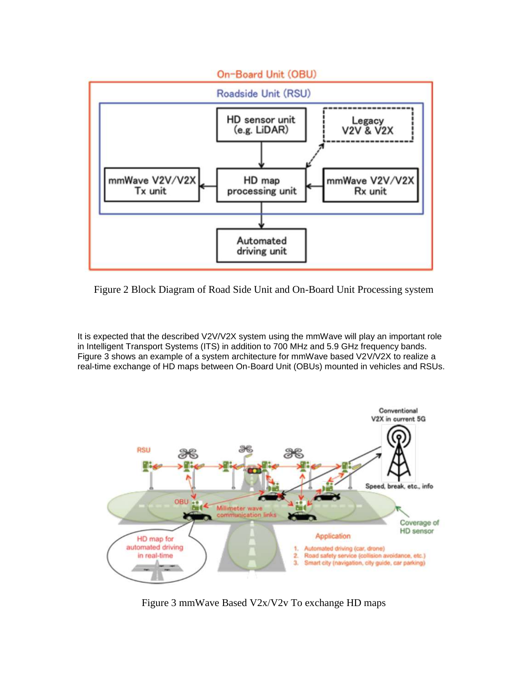

Figure 2 Block Diagram of Road Side Unit and On-Board Unit Processing system

It is expected that the described V2V/V2X system using the mmWave will play an important role in Intelligent Transport Systems (ITS) in addition to 700 MHz and 5.9 GHz frequency bands. Figure 3 shows an example of a system architecture for mmWave based V2V/V2X to realize a real-time exchange of HD maps between On-Board Unit (OBUs) mounted in vehicles and RSUs.



Figure 3 mmWave Based V2x/V2v To exchange HD maps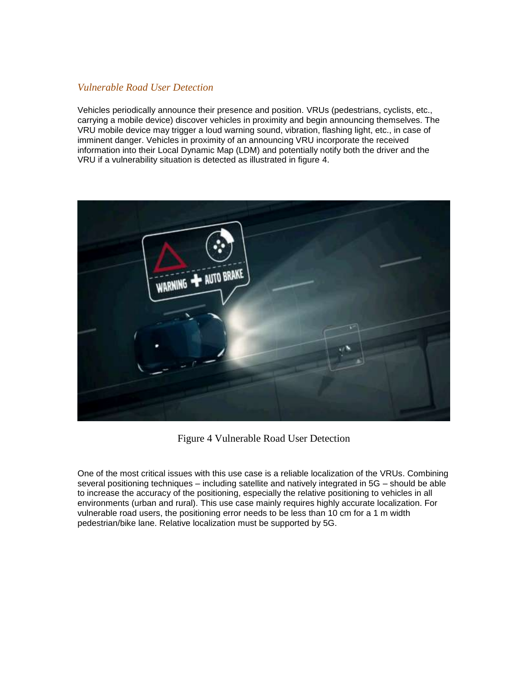#### *Vulnerable Road User Detection*

Vehicles periodically announce their presence and position. VRUs (pedestrians, cyclists, etc., carrying a mobile device) discover vehicles in proximity and begin announcing themselves. The VRU mobile device may trigger a loud warning sound, vibration, flashing light, etc., in case of imminent danger. Vehicles in proximity of an announcing VRU incorporate the received information into their Local Dynamic Map (LDM) and potentially notify both the driver and the VRU if a vulnerability situation is detected as illustrated in figure 4.



Figure 4 Vulnerable Road User Detection

One of the most critical issues with this use case is a reliable localization of the VRUs. Combining several positioning techniques – including satellite and natively integrated in 5G – should be able to increase the accuracy of the positioning, especially the relative positioning to vehicles in all environments (urban and rural). This use case mainly requires highly accurate localization. For vulnerable road users, the positioning error needs to be less than 10 cm for a 1 m width pedestrian/bike lane. Relative localization must be supported by 5G.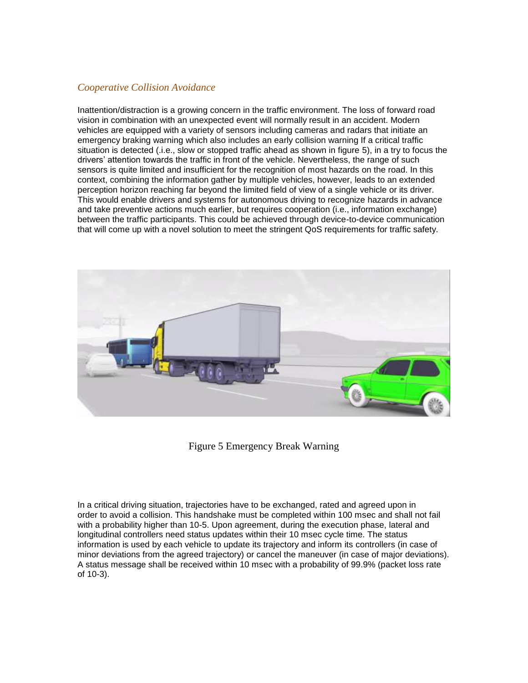#### *Cooperative Collision Avoidance*

Inattention/distraction is a growing concern in the traffic environment. The loss of forward road vision in combination with an unexpected event will normally result in an accident. Modern vehicles are equipped with a variety of sensors including cameras and radars that initiate an emergency braking warning which also includes an early collision warning If a critical traffic situation is detected (.i.e., slow or stopped traffic ahead as shown in figure 5), in a try to focus the drivers' attention towards the traffic in front of the vehicle. Nevertheless, the range of such sensors is quite limited and insufficient for the recognition of most hazards on the road. In this context, combining the information gather by multiple vehicles, however, leads to an extended perception horizon reaching far beyond the limited field of view of a single vehicle or its driver. This would enable drivers and systems for autonomous driving to recognize hazards in advance and take preventive actions much earlier, but requires cooperation (i.e., information exchange) between the traffic participants. This could be achieved through device-to-device communication that will come up with a novel solution to meet the stringent QoS requirements for traffic safety.



Figure 5 Emergency Break Warning

In a critical driving situation, trajectories have to be exchanged, rated and agreed upon in order to avoid a collision. This handshake must be completed within 100 msec and shall not fail with a probability higher than 10-5. Upon agreement, during the execution phase, lateral and longitudinal controllers need status updates within their 10 msec cycle time. The status information is used by each vehicle to update its trajectory and inform its controllers (in case of minor deviations from the agreed trajectory) or cancel the maneuver (in case of major deviations). A status message shall be received within 10 msec with a probability of 99.9% (packet loss rate of 10-3).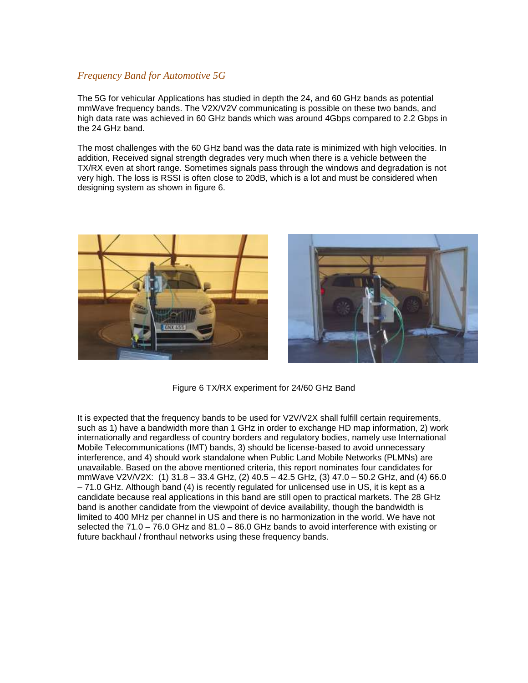#### *Frequency Band for Automotive 5G*

The 5G for vehicular Applications has studied in depth the 24, and 60 GHz bands as potential mmWave frequency bands. The V2X/V2V communicating is possible on these two bands, and high data rate was achieved in 60 GHz bands which was around 4Gbps compared to 2.2 Gbps in the 24 GHz band.

The most challenges with the 60 GHz band was the data rate is minimized with high velocities. In addition, Received signal strength degrades very much when there is a vehicle between the TX/RX even at short range. Sometimes signals pass through the windows and degradation is not very high. The loss is RSSI is often close to 20dB, which is a lot and must be considered when designing system as shown in figure 6.





Figure 6 TX/RX experiment for 24/60 GHz Band

It is expected that the frequency bands to be used for V2V/V2X shall fulfill certain requirements, such as 1) have a bandwidth more than 1 GHz in order to exchange HD map information, 2) work internationally and regardless of country borders and regulatory bodies, namely use International Mobile Telecommunications (IMT) bands, 3) should be license-based to avoid unnecessary interference, and 4) should work standalone when Public Land Mobile Networks (PLMNs) are unavailable. Based on the above mentioned criteria, this report nominates four candidates for mmWave V2V/V2X: (1) 31.8 – 33.4 GHz, (2) 40.5 – 42.5 GHz, (3) 47.0 – 50.2 GHz, and (4) 66.0 – 71.0 GHz. Although band (4) is recently regulated for unlicensed use in US, it is kept as a candidate because real applications in this band are still open to practical markets. The 28 GHz band is another candidate from the viewpoint of device availability, though the bandwidth is limited to 400 MHz per channel in US and there is no harmonization in the world. We have not selected the 71.0 – 76.0 GHz and 81.0 – 86.0 GHz bands to avoid interference with existing or future backhaul / fronthaul networks using these frequency bands.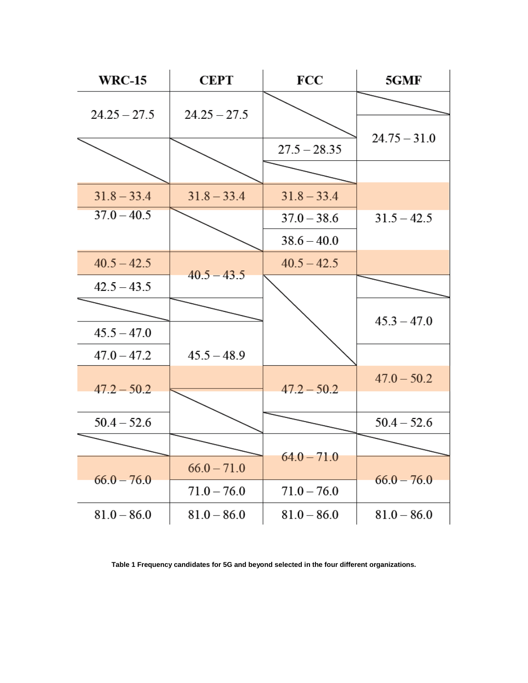

**Table 1 Frequency candidates for 5G and beyond selected in the four different organizations.**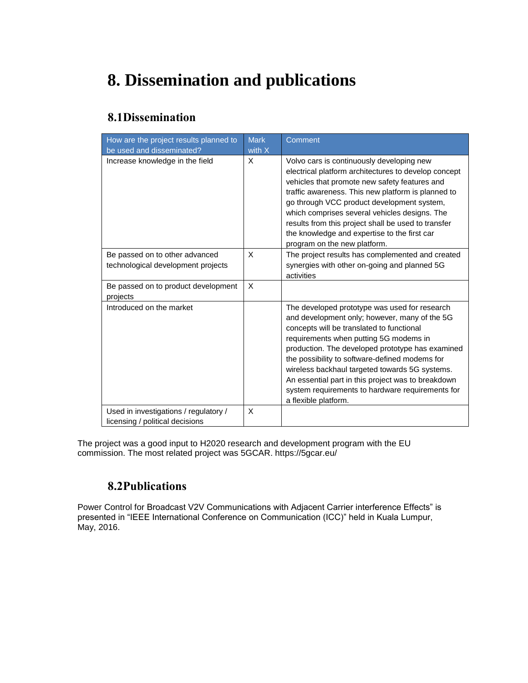# <span id="page-16-0"></span>**8. Dissemination and publications**

#### <span id="page-16-1"></span>**8.1Dissemination**

| How are the project results planned to<br>be used and disseminated?      | <b>Mark</b><br>with $X$ | Comment                                                                                                                                                                                                                                                                                                                                                                                                                                                                         |
|--------------------------------------------------------------------------|-------------------------|---------------------------------------------------------------------------------------------------------------------------------------------------------------------------------------------------------------------------------------------------------------------------------------------------------------------------------------------------------------------------------------------------------------------------------------------------------------------------------|
| Increase knowledge in the field                                          | X                       | Volvo cars is continuously developing new<br>electrical platform architectures to develop concept<br>vehicles that promote new safety features and<br>traffic awareness. This new platform is planned to<br>go through VCC product development system,<br>which comprises several vehicles designs. The<br>results from this project shall be used to transfer<br>the knowledge and expertise to the first car<br>program on the new platform.                                  |
| Be passed on to other advanced<br>technological development projects     | X                       | The project results has complemented and created<br>synergies with other on-going and planned 5G<br>activities                                                                                                                                                                                                                                                                                                                                                                  |
| Be passed on to product development<br>projects                          | X                       |                                                                                                                                                                                                                                                                                                                                                                                                                                                                                 |
| Introduced on the market                                                 |                         | The developed prototype was used for research<br>and development only; however, many of the 5G<br>concepts will be translated to functional<br>requirements when putting 5G modems in<br>production. The developed prototype has examined<br>the possibility to software-defined modems for<br>wireless backhaul targeted towards 5G systems.<br>An essential part in this project was to breakdown<br>system requirements to hardware requirements for<br>a flexible platform. |
| Used in investigations / regulatory /<br>licensing / political decisions | X                       |                                                                                                                                                                                                                                                                                                                                                                                                                                                                                 |

<span id="page-16-2"></span>The project was a good input to H2020 research and development program with the EU commission. The most related project was 5GCAR. https://5gcar.eu/

#### **8.2Publications**

Power Control for Broadcast V2V Communications with Adjacent Carrier interference Effects" is presented in "IEEE International Conference on Communication (ICC)" held in Kuala Lumpur, May, 2016.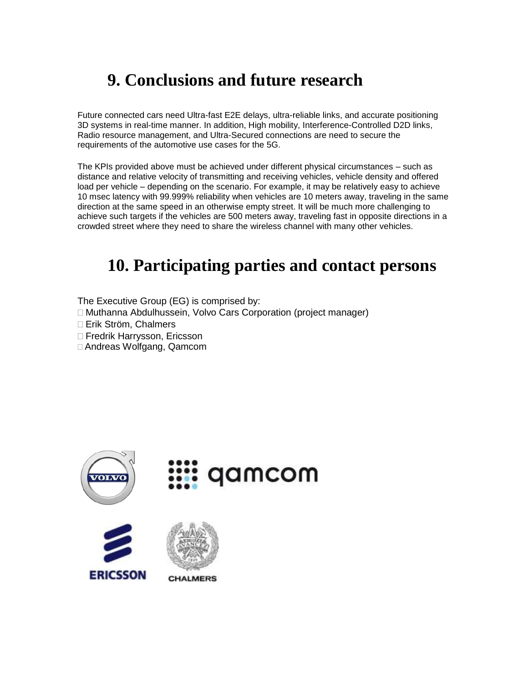# <span id="page-17-0"></span>**9. Conclusions and future research**

Future connected cars need Ultra-fast E2E delays, ultra-reliable links, and accurate positioning 3D systems in real-time manner. In addition, High mobility, Interference-Controlled D2D links, Radio resource management, and Ultra-Secured connections are need to secure the requirements of the automotive use cases for the 5G.

The KPIs provided above must be achieved under different physical circumstances – such as distance and relative velocity of transmitting and receiving vehicles, vehicle density and offered load per vehicle – depending on the scenario. For example, it may be relatively easy to achieve 10 msec latency with 99.999% reliability when vehicles are 10 meters away, traveling in the same direction at the same speed in an otherwise empty street. It will be much more challenging to achieve such targets if the vehicles are 500 meters away, traveling fast in opposite directions in a crowded street where they need to share the wireless channel with many other vehicles.

### <span id="page-17-1"></span>**10. Participating parties and contact persons**

The Executive Group (EG) is comprised by:

Muthanna Abdulhussein, Volvo Cars Corporation (project manager)

Erik Ström, Chalmers

□ Fredrik Harrysson, Ericsson

Andreas Wolfgang, Qamcom